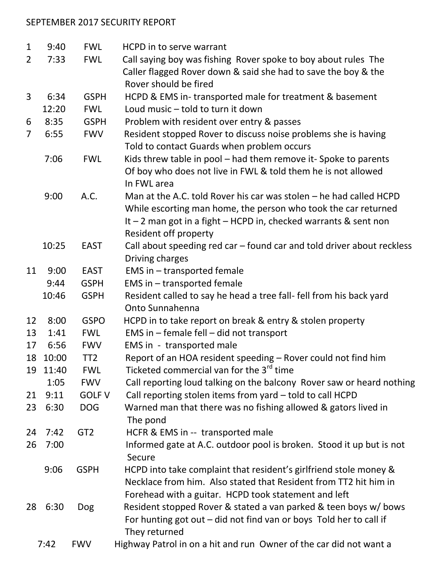## SEPTEMBER 2017 SECURITY REPORT

| $\mathbf{1}$   | 9:40  | <b>FWL</b>      | <b>HCPD</b> in to serve warrant                                        |
|----------------|-------|-----------------|------------------------------------------------------------------------|
| $\overline{2}$ | 7:33  | <b>FWL</b>      | Call saying boy was fishing Rover spoke to boy about rules The         |
|                |       |                 | Caller flagged Rover down & said she had to save the boy & the         |
|                |       |                 | Rover should be fired                                                  |
| 3              | 6:34  | <b>GSPH</b>     | HCPD & EMS in-transported male for treatment & basement                |
|                | 12:20 | <b>FWL</b>      | Loud music - told to turn it down                                      |
| 6              | 8:35  | <b>GSPH</b>     | Problem with resident over entry & passes                              |
| $\overline{7}$ | 6:55  | <b>FWV</b>      | Resident stopped Rover to discuss noise problems she is having         |
|                |       |                 | Told to contact Guards when problem occurs                             |
|                | 7:06  | <b>FWL</b>      | Kids threw table in pool – had them remove it-Spoke to parents         |
|                |       |                 | Of boy who does not live in FWL & told them he is not allowed          |
|                |       |                 | In FWL area                                                            |
|                | 9:00  | A.C.            | Man at the A.C. told Rover his car was stolen $-$ he had called HCPD   |
|                |       |                 | While escorting man home, the person who took the car returned         |
|                |       |                 | It $-2$ man got in a fight $-$ HCPD in, checked warrants & sent non    |
|                |       |                 | Resident off property                                                  |
|                | 10:25 | <b>EAST</b>     | Call about speeding red car - found car and told driver about reckless |
|                |       |                 | Driving charges                                                        |
| 11             | 9:00  | <b>EAST</b>     | EMS in $-$ transported female                                          |
|                | 9:44  | <b>GSPH</b>     | EMS in - transported female                                            |
|                | 10:46 | <b>GSPH</b>     | Resident called to say he head a tree fall- fell from his back yard    |
|                |       |                 | Onto Sunnahenna                                                        |
| 12             | 8:00  | <b>GSPO</b>     | HCPD in to take report on break & entry & stolen property              |
| 13             | 1:41  | <b>FWL</b>      | EMS in - female fell - did not transport                               |
| 17             | 6:56  | <b>FWV</b>      | EMS in - transported male                                              |
| 18             | 10:00 | TT <sub>2</sub> | Report of an HOA resident speeding - Rover could not find him          |
| 19             | 11:40 | <b>FWL</b>      | Ticketed commercial van for the 3 <sup>rd</sup> time                   |
|                | 1:05  | <b>FWV</b>      | Call reporting loud talking on the balcony Rover saw or heard nothing  |
| 21             | 9:11  | <b>GOLF V</b>   | Call reporting stolen items from yard - told to call HCPD              |
| 23             | 6:30  | <b>DOG</b>      | Warned man that there was no fishing allowed & gators lived in         |
|                |       |                 | The pond                                                               |
| 24             | 7:42  | GT <sub>2</sub> | HCFR & EMS in -- transported male                                      |
| 26             | 7:00  |                 | Informed gate at A.C. outdoor pool is broken. Stood it up but is not   |
|                |       |                 | Secure                                                                 |
|                | 9:06  | <b>GSPH</b>     | HCPD into take complaint that resident's girlfriend stole money &      |
|                |       |                 | Necklace from him. Also stated that Resident from TT2 hit him in       |
|                |       |                 | Forehead with a guitar. HCPD took statement and left                   |
| 28             | 6:30  | <b>Dog</b>      | Resident stopped Rover & stated a van parked & teen boys w/ bows       |
|                |       |                 | For hunting got out $-$ did not find van or boys Told her to call if   |
|                |       |                 | They returned                                                          |
|                | 7:42  | <b>FWV</b>      | Highway Patrol in on a hit and run Owner of the car did not want a     |